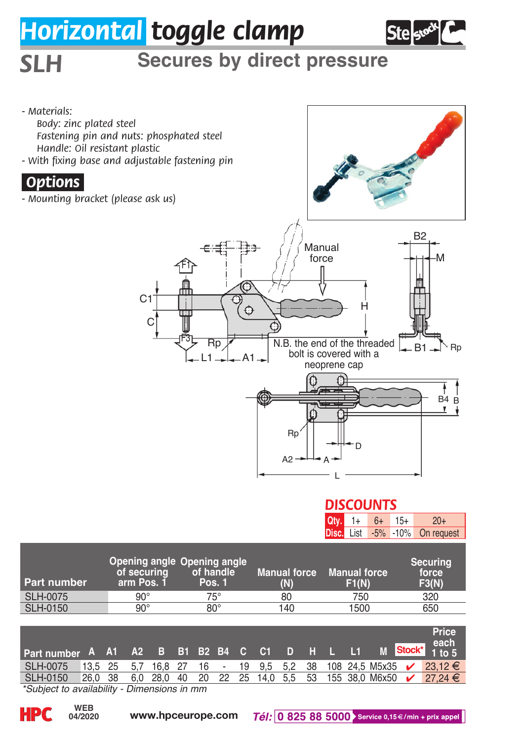## *Horizontal toggle clamp*



## *SLH* **Secures by direct pressure**

*- Materials: Body: zinc plated steel Fastening pin and nuts: phosphated steel Handle: Oil resistant plastic - With fixing base and adjustable fastening pin .Options. - Mounting bracket (please ask us)* B2  $\epsilon$ :fi lig. Manual force M F1 €  $C<sub>1</sub>$ H Ó  $\epsilon$ N.B. the end of the threaded F3 **Rn** B1 Rp bolt is covered with a A1 L1 neoprene cap B B4 Rp D  $A2$ A L

## 1+ *DISCOUNTS*

**Qty.**

6+ 15+

20+

|                 |                                                          |                     |                            |                              | <b>DISC.</b> List -5% -10% On request |  |
|-----------------|----------------------------------------------------------|---------------------|----------------------------|------------------------------|---------------------------------------|--|
| Part number     | Opening angle Opening angle<br>of securing<br>arm Pos. 1 | of handle<br>Pos. 1 | <b>Manual force</b><br>(N) | <b>Manual force</b><br>F1(N) | Securing<br>force<br>F3(N)            |  |
| <b>SLH-0075</b> | $90^\circ$                                               | 75°                 | 80                         | 750                          | 320                                   |  |
| <b>SLH-0150</b> | $90^\circ$                                               | $80^\circ$          | 140                        | 1500                         | 650                                   |  |

| Part number A A1 A2 B B1 B2 B4 C C1 D H L L1 M Stock* 1 to 5 |   |  |  |  |  |  |  |  | <b>Price</b><br>each                                              |
|--------------------------------------------------------------|---|--|--|--|--|--|--|--|-------------------------------------------------------------------|
| SLH-0075                                                     |   |  |  |  |  |  |  |  | 13,5 25 5,7 16,8 27 16 - 19 9,5 5,2 38 108 24,5 M5x35 ✔ 23,12 €   |
| SLH-0150                                                     |   |  |  |  |  |  |  |  | 26.0 38 6.0 28.0 40 20 22 25 14.0 5.5 53 155 38.0 M6x50 ✔ 27.24 € |
|                                                              | . |  |  |  |  |  |  |  |                                                                   |

*\*Subject to availability - Dimensions in mm*

**04/2020**